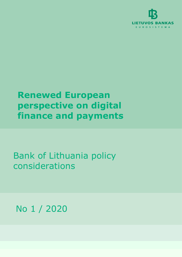

# **Renewed European perspective on digital finance and payments**

Bank of Lithuania policy considerations

No 1 / 2020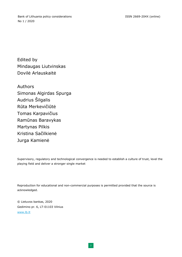Bank of Lithuania policy considerations No 1 / 2020

Edited by Mindaugas Liutvinskas Dovilė Arlauskaitė

Authors Simonas Algirdas Spurga Audrius Šilgalis Rūta Merkevičiūtė Tomas Karpavičius Ramūnas Baravykas Martynas Pilkis Kristina Sačilkienė Jurga Kamienė

Supervisory, regulatory and technological convergence is needed to establish a culture of trust, level the playing field and deliver a stronger single market

Reproduction for educational and non-commercial purposes is permitted provided that the source is acknowledged.

© Lietuvos bankas, 2020 Gedimino pr. 6, LT-01103 Vilnius [www.lb.lt](http://www.lb.lt/)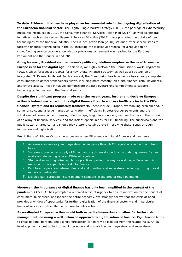**To date, EU-level initiatives have played an instrumental role in the ongoing digitalisation of the European financial sector.** The Digital Single Market Strategy (2015), the package of cybersecurity measures introduced in 2017, the Consumer Financial Services Action Plan (2017), as well as sectoral initiatives, such as the revised Payment Services Directive (2015), have promoted the uptake of new technologies by the financial industry. The FinTech Action Plan (2018) set out further specific steps to facilitate financial technologies in the EU, including the legislative proposal for a regulation on crowdfunding service providers, on which a provisional agreement was reached by the European Parliament and the Council in end-2019.

**Going forward, President von der Leyen's political guidelines emphasise the need to ensure Europe is fit for the digital age**. In this vein, we highly welcome the Commission's Work Programme (2020), which foresees a proposal for a new Digital Finance Strategy, as well as a Strategy on an integrated EU Payments Market. In this context, the Commission has launched or has already completed consultations to gather stakeholders' views, including more recently, on digital finance, retail payments, and crypto-assets. These initiatives demonstrate the EU's overarching commitment to support technological innovation in the financial sector.

**Despite the significant progress made over the recent years, further and decisive European action is indeed warranted on the digital finance front to address inefficiencies in the EU's financial system and its regulatory framework.** These include Europe's overbanking problem and, in some jurisdictions, a large market concentration; inefficiency in cross-border payments and the withdrawal of correspondent banking relationships; fragmentation along national borders in the provision of an array of financial services; and the lack of opportunities for SME financing. The supervisors and the public sector at large can and should play a strong catalytic role in resolving these issues through innovation and digitalisation.

Box 1. Bank of Lithuania's considerations for a new EU agenda on digital finance and payments

- 1. Accelerate supervisory and regulatory convergence through EU regulations rather than directives;
- 2. Increase cross-border supply of fintech and crypto asset solutions by updating current frameworks and delivering tailored EU-level regulation;
- 3. Standardise and digitalise regulatory practices, paving the way for a stronger European dimension to the supervision of digital finance;
- 4. Facilitate cooperation between financial and non-financial supervisors, including through novel models of partnership;
- 5. Develop pan-European instant payment solutions in the area of retail payments.

**Moreover, the importance of digital finance has only been amplified in the context of the pandemic.** COVID-19 has prompted a renewed sense of urgency to ensure innovation for the benefit of consumers, businesses, and indeed the entire economy. We strongly believe that the crisis at hand provides a window of opportunity for further digitalisation of the financial sector – and in particular financial services – rather than an excuse to delay action.

**A coordinated European action would both expedite innovation and allow for better risk management, ensuring a well-balanced approach to digitalisation of finance.** Digitalisation tends to cross national borders, and a single jurisdiction can hardly be isolated from the related risks. An EUlevel approach is best suited to pool knowledge and upscale the best regulatory and supervisory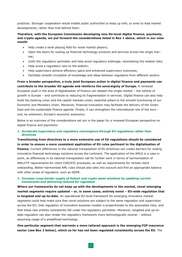practices. Stronger cooperation would enable public authorities to keep up with, or even to lead market developments, rather than trail behind them.

# **Therefore, with the European Commission developing new EU-level digital finance, payments, and crypto agenda, we put forward the considerations listed in Box 1 above, which in our view would:**

- Help create a level playing field for novel market players;
- Open the doors for scaling up financial technology products and services across the single market;
- Unify the regulatory perimeter and help avoid regulatory arbitrage, neutralising the related risks;
- Help avoid a regulatory race to the bottom;
- Help supervisors achieve efficiency gains and enhanced supervisory outcomes;
- Facilitate smooth circulation of knowledge and ideas between regulators from different sectors.

**From a broader perspective, a truly joint European action in digital finance and payments can contribute to the broader EU agenda and reinforce the sovereignty of Europe.** A renewed European push in the area of digitalisation of finance can deepen the single market – the vehicle of growth in Europe – and contribute to reducing its fragmentation in services. Digital finance can also help build the banking union and the capital markets union, essential pillars to the smooth functioning of our Economic and Monetary Union. Moreover, financial innovation may facilitate the delivery of the Green Deal and the sustainable finance agenda. Finally, it can strengthen the international role of the euro – and, by extension, Europe's economic autonomy.

Below is an overview of the considerations set out in the paper for a renewed European perspective on digital finance and payments:

# **1. Accelerate supervisory and regulatory convergence through EU regulations rather than directives**

**Transitioning from directives to a more extensive use of EU regulations should be considered in order to ensure a more consistent application of EU rules pertinent to the digitalisation of finance.** Current differences in the national transposition of EU directives can create barriers for scaling innovative financial technology solutions across the continent. The application of the AMLD is a case in point, as differences in its national transposition call for further work in terms of harmonisation of AML/CTF requirements for client CDD/KYC processes, as well as requirements for remote client onboarding. Better-harmonised AML rules should also take into account and find an appropriate balance with other areas of regulation, such as GDPR.

## **2. Increase cross-border supply of fintech and crypto asset solutions by updating current frameworks and delivering tailored EU regulation**

**Where our frameworks do not keep up with the developments in the market, novel emerging market segments require updated – or, in some cases, entirely novel – EU-wide regulation that is targeted and up-to-date**. An operational EU-level framework for emerging innovative market segments could help make sure that novel solutions are subject to the same regulation and supervision across the EU; that regulation of innovative business models is proportionate to the associated risks; and that these new entities consistently fall under the regulatory perimeter. Moreover, targeted and up-todate regulation can also render the regulatory framework more technologically neutral – without assuming usage of a predefined technology.

**One particular segment that warrants a more tailored approach is the emerging P2P insurance sector (see Box 2 below), which so far has not been regulated consistently across the EU.** The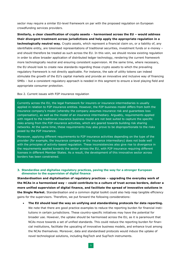sector may require a similar EU-level framework on par with the proposed regulation on European crowdfunding services providers.

**Similarly, a clear classification of crypto assets – harmonised across the EU – would address their divergent treatment across jurisdictions and help apply the appropriate regulation in a technologically neutral way.** Crypto assets, which represent a financial claim on, or a liability of, any identifiable entity, are tokenised representations of traditional securities, investment funds or e-money – and should therefore be treated as such across the EU. In this vein, we should review existing regulation in order to allow broader application of distributed ledger technology, rendering the current framework more technologically neutral and ensuring consistent supervision. At the same time, where necessary, the EU should look to create new standards regarding those crypto assets to which the prevailing regulatory framework is not directly applicable. For instance, the sale of utility tokens can indeed stimulate the growth of the EU's capital markets and provide an innovative and inclusive way of financing SMEs – but a consistent regulatory approach is needed in this segment to ensure a level playing field and appropriate consumer protection.

#### Box 2. Current issues with P2P insurance regulation

Currently across the EU, the legal framework for insurers or insurance intermediaries is usually applied in relation to P2P insurance entities. However, the P2P business model differs from both the insurance company's model (whereby the company assumes insurance risk and guarantees loss compensation), as well as the model of an insurance intermediary. Arguably, requirements applied with regard to the traditional insurance business model are not best suited to capture the specific risks arising from the P2P insurance activities, which are geared towards building risk sharing networks. At the same time, these requirements may also prove to be disproportionate to the risks posed by the P2P insurance.

Moreover, applying different requirements to P2P insurance activities depending on the type of the provider (for example, the insurance company or the insurance intermediary) does not bode well with the principles of activity-based regulation. These inconsistencies also give rise to divergence in the requirements applied towards the sector across the EU, with P2P insurance requiring different licenses in different Member States. As a result, the development of this innovative sector across borders has been constrained.

### **3. Standardise and digitalise regulatory practices, paving the way for a stronger European dimension to the supervision of digital finance**

**Standardisation and digitalisation of regulatory practices – upgrading the everyday work of the NCAs in a harmonised way – could contribute to a culture of trust across borders, deliver a more unified supervision of digital finance, and facilitate the spread of innovative solutions in the Single Market.** Standardisation and a common digital toolkit could also help reap tangible efficiency gains for the supervisors. Therefore, we put forward the following considerations:

 **The EU should lead the way on unifying and standardising protocols for data reporting.** We note that there are good practice examples to reduce the reporting burden for financial institutions in certain jurisdictions. These country-specific initiatives may have the potential for broader use. However, the uptake should be harmonised across the EU, as it is paramount that NCAs move towards a set of unified standards. This could reduce the reporting burden for financial institutions, facilitate the upscaling of innovative business models, and enhance trust among the NCAs themselves. Moreover, data and standardised protocols would induce the uptake of novel technological solutions, including RegTech and SupTech instruments.